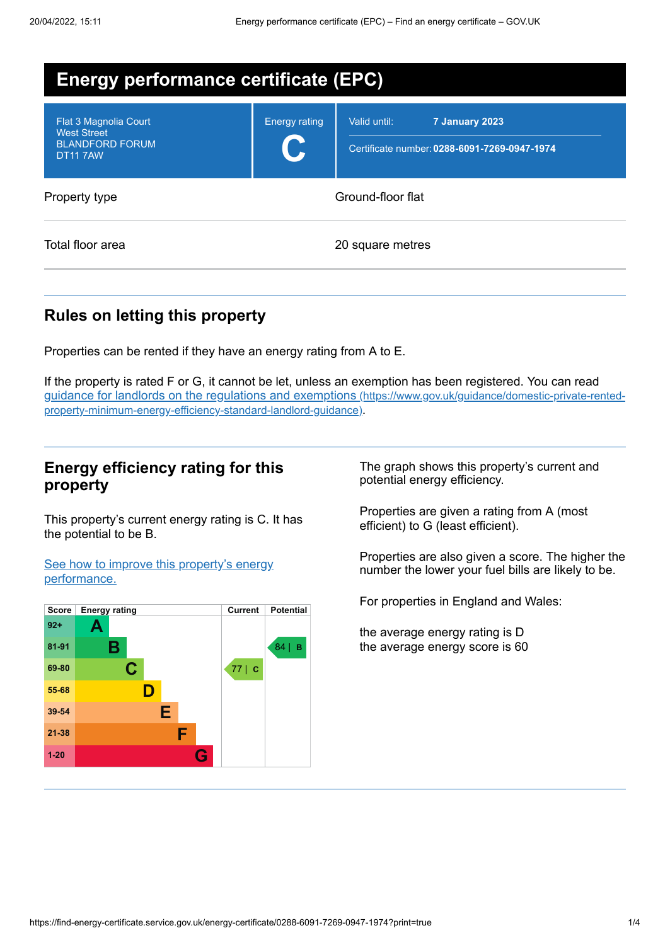| <b>Energy performance certificate (EPC)</b>                                              |                      |                                                                                |  |
|------------------------------------------------------------------------------------------|----------------------|--------------------------------------------------------------------------------|--|
| Flat 3 Magnolia Court<br><b>West Street</b><br><b>BLANDFORD FORUM</b><br><b>DT11 7AW</b> | <b>Energy rating</b> | Valid until:<br>7 January 2023<br>Certificate number: 0288-6091-7269-0947-1974 |  |
| Property type                                                                            | Ground-floor flat    |                                                                                |  |
| Total floor area                                                                         |                      | 20 square metres                                                               |  |

## **Rules on letting this property**

Properties can be rented if they have an energy rating from A to E.

If the property is rated F or G, it cannot be let, unless an exemption has been registered. You can read guidance for landlords on the regulations and exemptions (https://www.gov.uk/guidance/domestic-private-rented[property-minimum-energy-efficiency-standard-landlord-guidance\)](https://www.gov.uk/guidance/domestic-private-rented-property-minimum-energy-efficiency-standard-landlord-guidance).

## **Energy efficiency rating for this property**

This property's current energy rating is C. It has the potential to be B.

See how to improve this property's energy [performance.](#page-2-0)



The graph shows this property's current and potential energy efficiency.

Properties are given a rating from A (most efficient) to G (least efficient).

Properties are also given a score. The higher the number the lower your fuel bills are likely to be.

For properties in England and Wales:

the average energy rating is D the average energy score is 60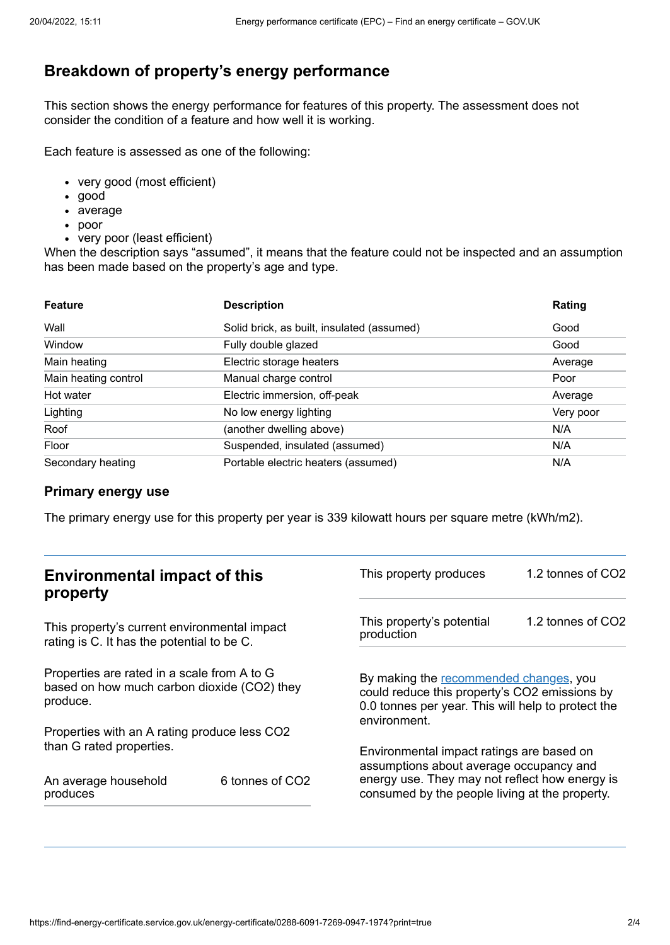## **Breakdown of property's energy performance**

This section shows the energy performance for features of this property. The assessment does not consider the condition of a feature and how well it is working.

Each feature is assessed as one of the following:

- very good (most efficient)
- good
- average
- poor
- very poor (least efficient)

When the description says "assumed", it means that the feature could not be inspected and an assumption has been made based on the property's age and type.

| <b>Feature</b>       | <b>Description</b>                         | Rating    |
|----------------------|--------------------------------------------|-----------|
| Wall                 | Solid brick, as built, insulated (assumed) | Good      |
| Window               | Fully double glazed                        | Good      |
| Main heating         | Electric storage heaters                   | Average   |
| Main heating control | Manual charge control                      | Poor      |
| Hot water            | Electric immersion, off-peak               | Average   |
| Lighting             | No low energy lighting                     | Very poor |
| Roof                 | (another dwelling above)                   | N/A       |
| Floor                | Suspended, insulated (assumed)             | N/A       |
| Secondary heating    | Portable electric heaters (assumed)        | N/A       |

### **Primary energy use**

The primary energy use for this property per year is 339 kilowatt hours per square metre (kWh/m2).

| <b>Environmental impact of this</b><br>property                                                        |                             | 1.2 tonnes of CO2<br>This property produces                                                                                                                   |                   |
|--------------------------------------------------------------------------------------------------------|-----------------------------|---------------------------------------------------------------------------------------------------------------------------------------------------------------|-------------------|
| This property's current environmental impact<br>rating is C. It has the potential to be C.             |                             | This property's potential<br>production                                                                                                                       | 1.2 tonnes of CO2 |
| Properties are rated in a scale from A to G<br>based on how much carbon dioxide (CO2) they<br>produce. |                             | By making the recommended changes, you<br>could reduce this property's CO2 emissions by<br>0.0 tonnes per year. This will help to protect the<br>environment. |                   |
| Properties with an A rating produce less CO2                                                           |                             |                                                                                                                                                               |                   |
| than G rated properties.                                                                               |                             | Environmental impact ratings are based on<br>assumptions about average occupancy and                                                                          |                   |
| An average household<br>produces                                                                       | 6 tonnes of CO <sub>2</sub> | energy use. They may not reflect how energy is<br>consumed by the people living at the property.                                                              |                   |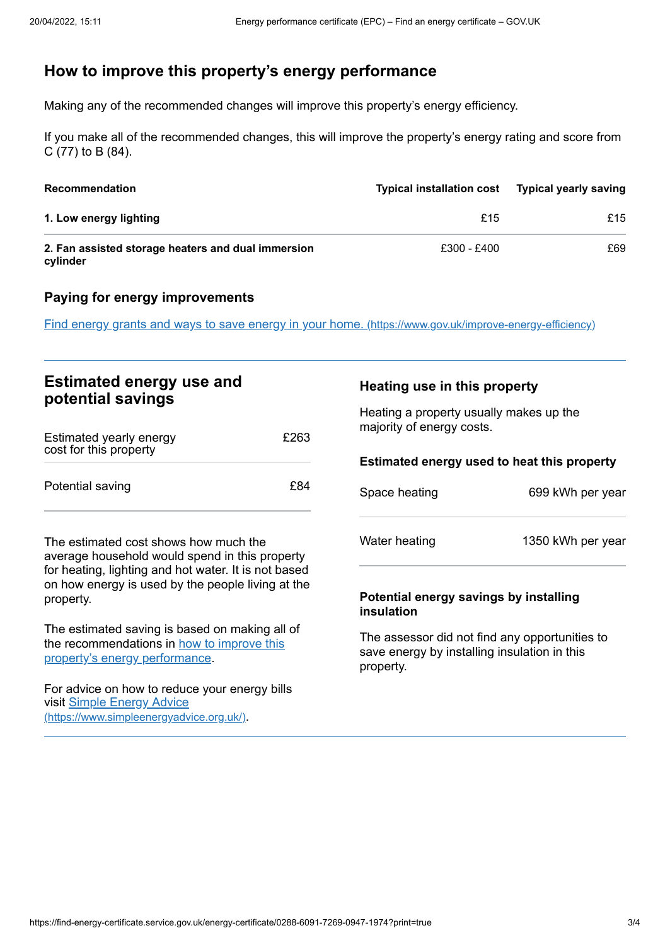# <span id="page-2-0"></span>**How to improve this property's energy performance**

Making any of the recommended changes will improve this property's energy efficiency.

If you make all of the recommended changes, this will improve the property's energy rating and score from C (77) to B (84).

| <b>Recommendation</b>                                          | <b>Typical installation cost</b> | <b>Typical yearly saving</b> |
|----------------------------------------------------------------|----------------------------------|------------------------------|
| 1. Low energy lighting                                         | £15                              | £15                          |
| 2. Fan assisted storage heaters and dual immersion<br>cylinder | £300 - £400                      | £69                          |

### **Paying for energy improvements**

Find energy grants and ways to save energy in your home. [\(https://www.gov.uk/improve-energy-efficiency\)](https://www.gov.uk/improve-energy-efficiency)

| <b>Estimated energy use and</b>                                                                                        |      |                                                                       | Heating use in this property |
|------------------------------------------------------------------------------------------------------------------------|------|-----------------------------------------------------------------------|------------------------------|
| potential savings                                                                                                      |      | Heating a property usually makes up the                               |                              |
| Estimated yearly energy<br>cost for this property                                                                      | £263 | majority of energy costs.                                             |                              |
|                                                                                                                        |      | Estimated energy used to heat this property                           |                              |
| Potential saving                                                                                                       | £84  | Space heating                                                         | 699 kWh per year             |
| The estimated cost shows how much the<br>average household would spend in this property                                |      | Water heating                                                         | 1350 kWh per year            |
| for heating, lighting and hot water. It is not based<br>on how energy is used by the people living at the<br>property. |      | Potential energy savings by installing<br>$\ddot{\phantom{a}}$ nanian |                              |

The estimated saving is based on making all of the [recommendations](#page-2-0) in how to improve this property's energy performance.

For advice on how to reduce your energy bills visit Simple Energy Advice [\(https://www.simpleenergyadvice.org.uk/\)](https://www.simpleenergyadvice.org.uk/).

# **insulation**

The assessor did not find any opportunities to save energy by installing insulation in this property.